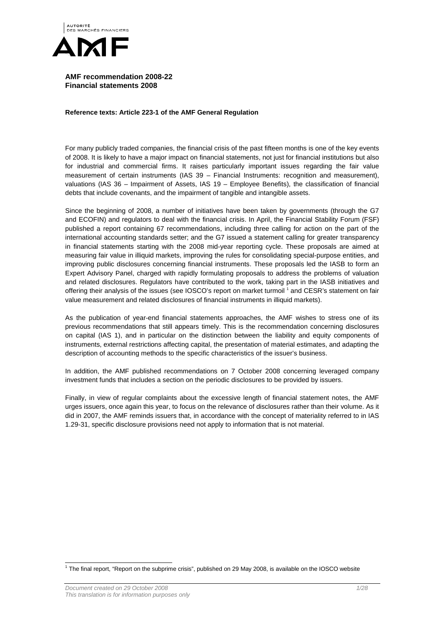

**AMF recommendation 2008-22 Financial statements 2008** 

**Reference texts: Article 223-1 of the AMF General Regulation** 

For many publicly traded companies, the financial crisis of the past fifteen months is one of the key events of 2008. It is likely to have a major impact on financial statements, not just for financial institutions but also for industrial and commercial firms. It raises particularly important issues regarding the fair value measurement of certain instruments (IAS 39 – Financial Instruments: recognition and measurement), valuations (IAS 36 – Impairment of Assets, IAS 19 – Employee Benefits), the classification of financial debts that include covenants, and the impairment of tangible and intangible assets.

Since the beginning of 2008, a number of initiatives have been taken by governments (through the G7 and ECOFIN) and regulators to deal with the financial crisis. In April, the Financial Stability Forum (FSF) published a report containing 67 recommendations, including three calling for action on the part of the international accounting standards setter; and the G7 issued a statement calling for greater transparency in financial statements starting with the 2008 mid-year reporting cycle. These proposals are aimed at measuring fair value in illiquid markets, improving the rules for consolidating special-purpose entities, and improving public disclosures concerning financial instruments. These proposals led the IASB to form an Expert Advisory Panel, charged with rapidly formulating proposals to address the problems of valuation and related disclosures. Regulators have contributed to the work, taking part in the IASB initiatives and offering their analysis of the issues (see IOSCO's report on market turmoil 1 and CESR's statement on fair value measurement and related disclosures of financial instruments in illiquid markets).

As the publication of year-end financial statements approaches, the AMF wishes to stress one of its previous recommendations that still appears timely. This is the recommendation concerning disclosures on capital (IAS 1), and in particular on the distinction between the liability and equity components of instruments, external restrictions affecting capital, the presentation of material estimates, and adapting the description of accounting methods to the specific characteristics of the issuer's business.

In addition, the AMF published recommendations on 7 October 2008 concerning leveraged company investment funds that includes a section on the periodic disclosures to be provided by issuers.

Finally, in view of regular complaints about the excessive length of financial statement notes, the AMF urges issuers, once again this year, to focus on the relevance of disclosures rather than their volume. As it did in 2007, the AMF reminds issuers that, in accordance with the concept of materiality referred to in IAS 1.29-31, specific disclosure provisions need not apply to information that is not material.

 1 The final report, "Report on the subprime crisis", published on 29 May 2008, is available on the IOSCO website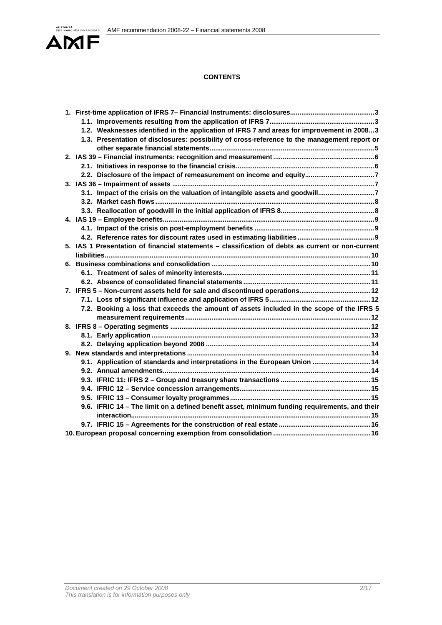

# **CONTENTS**

|  | 1.2. Weaknesses identified in the application of IFRS 7 and areas for improvement in 20083        |  |
|--|---------------------------------------------------------------------------------------------------|--|
|  | 1.3. Presentation of disclosures: possibility of cross-reference to the management report or      |  |
|  |                                                                                                   |  |
|  |                                                                                                   |  |
|  |                                                                                                   |  |
|  | 2.2. Disclosure of the impact of remeasurement on income and equity7                              |  |
|  |                                                                                                   |  |
|  | 3.1. Impact of the crisis on the valuation of intangible assets and goodwill7                     |  |
|  |                                                                                                   |  |
|  |                                                                                                   |  |
|  |                                                                                                   |  |
|  |                                                                                                   |  |
|  |                                                                                                   |  |
|  | 5. IAS 1 Presentation of financial statements - classification of debts as current or non-current |  |
|  |                                                                                                   |  |
|  |                                                                                                   |  |
|  |                                                                                                   |  |
|  |                                                                                                   |  |
|  |                                                                                                   |  |
|  |                                                                                                   |  |
|  | 7.2. Booking a loss that exceeds the amount of assets included in the scope of the IFRS 5         |  |
|  |                                                                                                   |  |
|  |                                                                                                   |  |
|  |                                                                                                   |  |
|  |                                                                                                   |  |
|  |                                                                                                   |  |
|  | 9.1. Application of standards and interpretations in the European Union  14                       |  |
|  |                                                                                                   |  |
|  |                                                                                                   |  |
|  |                                                                                                   |  |
|  |                                                                                                   |  |
|  | 9.6. IFRIC 14 - The limit on a defined benefit asset, minimum funding requirements, and their     |  |
|  |                                                                                                   |  |
|  |                                                                                                   |  |
|  |                                                                                                   |  |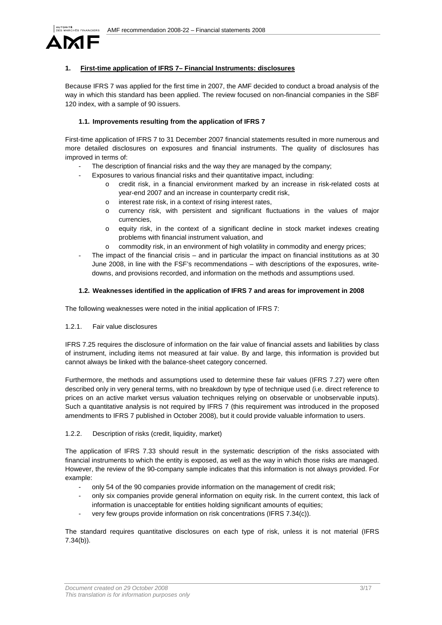

# **1. First-time application of IFRS 7– Financial Instruments: disclosures**

Because IFRS 7 was applied for the first time in 2007, the AMF decided to conduct a broad analysis of the way in which this standard has been applied. The review focused on non-financial companies in the SBF 120 index, with a sample of 90 issuers.

# **1.1. Improvements resulting from the application of IFRS 7**

First-time application of IFRS 7 to 31 December 2007 financial statements resulted in more numerous and more detailed disclosures on exposures and financial instruments. The quality of disclosures has improved in terms of:

- The description of financial risks and the way they are managed by the company;
- Exposures to various financial risks and their quantitative impact, including:
	- o credit risk, in a financial environment marked by an increase in risk-related costs at year-end 2007 and an increase in counterparty credit risk,
	- o interest rate risk, in a context of rising interest rates,
	- o currency risk, with persistent and significant fluctuations in the values of major currencies,
	- o equity risk, in the context of a significant decline in stock market indexes creating problems with financial instrument valuation, and
	- o commodity risk, in an environment of high volatility in commodity and energy prices;
- The impact of the financial crisis and in particular the impact on financial institutions as at 30 June 2008, in line with the FSF's recommendations – with descriptions of the exposures, writedowns, and provisions recorded, and information on the methods and assumptions used.

# **1.2. Weaknesses identified in the application of IFRS 7 and areas for improvement in 2008**

The following weaknesses were noted in the initial application of IFRS 7:

# 1.2.1. Fair value disclosures

IFRS 7.25 requires the disclosure of information on the fair value of financial assets and liabilities by class of instrument, including items not measured at fair value. By and large, this information is provided but cannot always be linked with the balance-sheet category concerned.

Furthermore, the methods and assumptions used to determine these fair values (IFRS 7.27) were often described only in very general terms, with no breakdown by type of technique used (i.e. direct reference to prices on an active market versus valuation techniques relying on observable or unobservable inputs). Such a quantitative analysis is not required by IFRS 7 (this requirement was introduced in the proposed amendments to IFRS 7 published in October 2008), but it could provide valuable information to users.

# 1.2.2. Description of risks (credit, liquidity, market)

The application of IFRS 7.33 should result in the systematic description of the risks associated with financial instruments to which the entity is exposed, as well as the way in which those risks are managed. However, the review of the 90-company sample indicates that this information is not always provided. For example:

- only 54 of the 90 companies provide information on the management of credit risk;
- only six companies provide general information on equity risk. In the current context, this lack of information is unacceptable for entities holding significant amounts of equities;
- very few groups provide information on risk concentrations (IFRS 7.34(c)).

The standard requires quantitative disclosures on each type of risk, unless it is not material (IFRS 7.34(b)).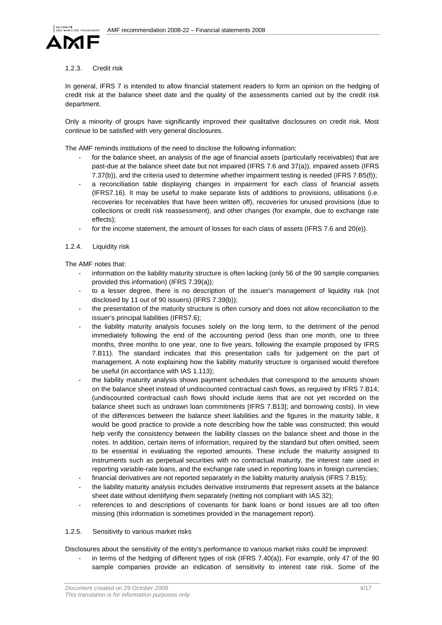

### 1.2.3. Credit risk

In general, IFRS 7 is intended to allow financial statement readers to form an opinion on the hedging of credit risk at the balance sheet date and the quality of the assessments carried out by the credit risk department.

Only a minority of groups have significantly improved their qualitative disclosures on credit risk. Most continue to be satisfied with very general disclosures.

The AMF reminds institutions of the need to disclose the following information:

- for the balance sheet, an analysis of the age of financial assets (particularly receivables) that are past-due at the balance sheet date but not impaired (IFRS 7.6 and 37(a)), impaired assets (IFRS 7.37(b)), and the criteria used to determine whether impairment testing is needed (IFRS 7.B5(f));
- a reconciliation table displaying changes in impairment for each class of financial assets (IFRS7.16). It may be useful to make separate lists of additions to provisions, utilisations (i.e. recoveries for receivables that have been written off), recoveries for unused provisions (due to collections or credit risk reassessment), and other changes (for example, due to exchange rate effects);
- for the income statement, the amount of losses for each class of assets (IFRS 7.6 and 20(e)).

# 1.2.4. Liquidity risk

The AMF notes that:

- information on the liability maturity structure is often lacking (only 56 of the 90 sample companies provided this information) (IFRS 7.39(a));
- to a lesser degree, there is no description of the issuer's management of liquidity risk (not disclosed by 11 out of 90 issuers) (IFRS 7.39(b));
- the presentation of the maturity structure is often cursory and does not allow reconciliation to the issuer's principal liabilities (IFRS7.6);
- the liability maturity analysis focuses solely on the long term, to the detriment of the period immediately following the end of the accounting period (less than one month, one to three months, three months to one year, one to five years, following the example proposed by IFRS 7.B11). The standard indicates that this presentation calls for judgement on the part of management. A note explaining how the liability maturity structure is organised would therefore be useful (in accordance with IAS 1.113);
- the liability maturity analysis shows payment schedules that correspond to the amounts shown on the balance sheet instead of undiscounted contractual cash flows, as required by IFRS 7.B14; (undiscounted contractual cash flows should include items that are not yet recorded on the balance sheet such as undrawn loan commitments [IFRS 7.B13]; and borrowing costs). In view of the differences between the balance sheet liabilities and the figures in the maturity table, it would be good practice to provide a note describing how the table was constructed; this would help verify the consistency between the liability classes on the balance sheet and those in the notes. In addition, certain items of information, required by the standard but often omitted, seem to be essential in evaluating the reported amounts. These include the maturity assigned to instruments such as perpetual securities with no contractual maturity, the interest rate used in reporting variable-rate loans, and the exchange rate used in reporting loans in foreign currencies;
- financial derivatives are not reported separately in the liability maturity analysis (IFRS 7.B15);
- the liability maturity analysis includes derivative instruments that represent assets at the balance sheet date without identifying them separately (netting not compliant with IAS 32);
- references to and descriptions of covenants for bank loans or bond issues are all too often missing (this information is sometimes provided in the management report).

# 1.2.5. Sensitivity to various market risks

Disclosures about the sensitivity of the entity's performance to various market risks could be improved:

in terms of the hedging of different types of risk (IFRS  $7.40(a)$ ). For example, only 47 of the 90 sample companies provide an indication of sensitivity to interest rate risk. Some of the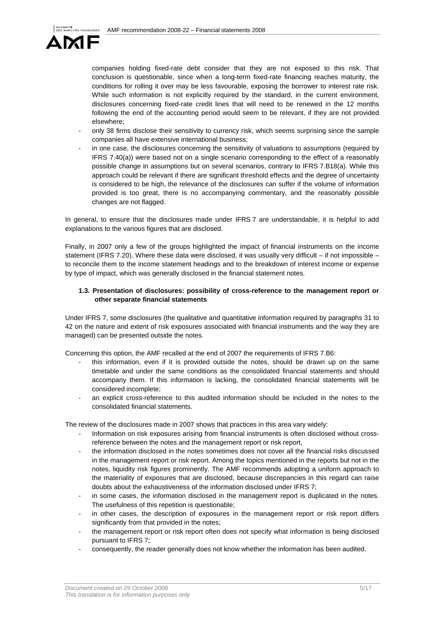

companies holding fixed-rate debt consider that they are not exposed to this risk. That conclusion is questionable, since when a long-term fixed-rate financing reaches maturity, the conditions for rolling it over may be less favourable, exposing the borrower to interest rate risk. While such information is not explicitly required by the standard, in the current environment, disclosures concerning fixed-rate credit lines that will need to be renewed in the 12 months following the end of the accounting period would seem to be relevant, if they are not provided elsewhere;

- only 38 firms disclose their sensitivity to currency risk, which seems surprising since the sample companies all have extensive international business;
- in one case, the disclosures concerning the sensitivity of valuations to assumptions (required by IFRS 7.40(a)) were based not on a single scenario corresponding to the effect of a reasonably possible change in assumptions but on several scenarios, contrary to IFRS 7.B18(a). While this approach could be relevant if there are significant threshold effects and the degree of uncertainty is considered to be high, the relevance of the disclosures can suffer if the volume of information provided is too great, there is no accompanying commentary, and the reasonably possible changes are not flagged.

In general, to ensure that the disclosures made under IFRS 7 are understandable, it is helpful to add explanations to the various figures that are disclosed.

Finally, in 2007 only a few of the groups highlighted the impact of financial instruments on the income statement (IFRS 7.20). Where these data were disclosed, it was usually very difficult – if not impossible – to reconcile them to the income statement headings and to the breakdown of interest income or expense by type of impact, which was generally disclosed in the financial statement notes.

# **1.3. Presentation of disclosures: possibility of cross-reference to the management report or other separate financial statements**

Under IFRS 7, some disclosures (the qualitative and quantitative information required by paragraphs 31 to 42 on the nature and extent of risk exposures associated with financial instruments and the way they are managed) can be presented outside the notes.

Concerning this option, the AMF recalled at the end of 2007 the requirements of IFRS 7.B6:

- this information, even if it is provided outside the notes, should be drawn up on the same timetable and under the same conditions as the consolidated financial statements and should accompany them. If this information is lacking, the consolidated financial statements will be considered incomplete;
- an explicit cross-reference to this audited information should be included in the notes to the consolidated financial statements.

The review of the disclosures made in 2007 shows that practices in this area vary widely:

- Information on risk exposures arising from financial instruments is often disclosed without crossreference between the notes and the management report or risk report,
- the information disclosed in the notes sometimes does not cover all the financial risks discussed in the management report or risk report. Among the topics mentioned in the reports but not in the notes, liquidity risk figures prominently. The AMF recommends adopting a uniform approach to the materiality of exposures that are disclosed, because discrepancies in this regard can raise doubts about the exhaustiveness of the information disclosed under IFRS 7;
- in some cases, the information disclosed in the management report is duplicated in the notes. The usefulness of this repetition is questionable;
- in other cases, the description of exposures in the management report or risk report differs significantly from that provided in the notes;
- the management report or risk report often does not specify what information is being disclosed pursuant to IFRS 7;
- consequently, the reader generally does not know whether the information has been audited.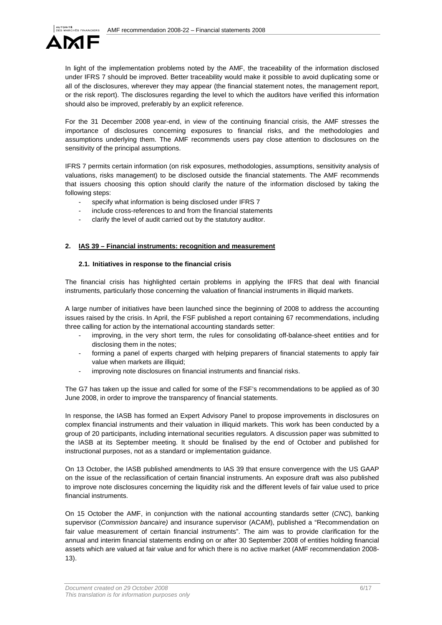

In light of the implementation problems noted by the AMF, the traceability of the information disclosed under IFRS 7 should be improved. Better traceability would make it possible to avoid duplicating some or all of the disclosures, wherever they may appear (the financial statement notes, the management report, or the risk report). The disclosures regarding the level to which the auditors have verified this information should also be improved, preferably by an explicit reference.

For the 31 December 2008 year-end, in view of the continuing financial crisis, the AMF stresses the importance of disclosures concerning exposures to financial risks, and the methodologies and assumptions underlying them. The AMF recommends users pay close attention to disclosures on the sensitivity of the principal assumptions.

IFRS 7 permits certain information (on risk exposures, methodologies, assumptions, sensitivity analysis of valuations, risks management) to be disclosed outside the financial statements. The AMF recommends that issuers choosing this option should clarify the nature of the information disclosed by taking the following steps:

- specify what information is being disclosed under IFRS 7
- include cross-references to and from the financial statements
- clarify the level of audit carried out by the statutory auditor.

### **2. IAS 39 – Financial instruments: recognition and measurement**

### **2.1. Initiatives in response to the financial crisis**

The financial crisis has highlighted certain problems in applying the IFRS that deal with financial instruments, particularly those concerning the valuation of financial instruments in illiquid markets.

A large number of initiatives have been launched since the beginning of 2008 to address the accounting issues raised by the crisis. In April, the FSF published a report containing 67 recommendations, including three calling for action by the international accounting standards setter:

- improving, in the very short term, the rules for consolidating off-balance-sheet entities and for disclosing them in the notes;
- forming a panel of experts charged with helping preparers of financial statements to apply fair value when markets are illiquid;
- improving note disclosures on financial instruments and financial risks.

The G7 has taken up the issue and called for some of the FSF's recommendations to be applied as of 30 June 2008, in order to improve the transparency of financial statements.

In response, the IASB has formed an Expert Advisory Panel to propose improvements in disclosures on complex financial instruments and their valuation in illiquid markets. This work has been conducted by a group of 20 participants, including international securities regulators. A discussion paper was submitted to the IASB at its September meeting. It should be finalised by the end of October and published for instructional purposes, not as a standard or implementation guidance.

On 13 October, the IASB published amendments to IAS 39 that ensure convergence with the US GAAP on the issue of the reclassification of certain financial instruments. An exposure draft was also published to improve note disclosures concerning the liquidity risk and the different levels of fair value used to price financial instruments.

On 15 October the AMF, in conjunction with the national accounting standards setter (CNC), banking supervisor (Commission bancaire) and insurance supervisor (ACAM), published a "Recommendation on fair value measurement of certain financial instruments". The aim was to provide clarification for the annual and interim financial statements ending on or after 30 September 2008 of entities holding financial assets which are valued at fair value and for which there is no active market (AMF recommendation 2008- 13).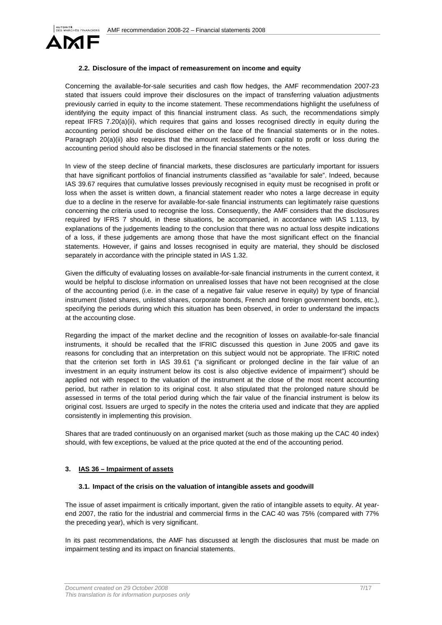

### **2.2. Disclosure of the impact of remeasurement on income and equity**

Concerning the available-for-sale securities and cash flow hedges, the AMF recommendation 2007-23 stated that issuers could improve their disclosures on the impact of transferring valuation adjustments previously carried in equity to the income statement. These recommendations highlight the usefulness of identifying the equity impact of this financial instrument class. As such, the recommendations simply repeat IFRS 7.20(a)(ii), which requires that gains and losses recognised directly in equity during the accounting period should be disclosed either on the face of the financial statements or in the notes. Paragraph 20(a)(ii) also requires that the amount reclassified from capital to profit or loss during the accounting period should also be disclosed in the financial statements or the notes.

In view of the steep decline of financial markets, these disclosures are particularly important for issuers that have significant portfolios of financial instruments classified as "available for sale". Indeed, because IAS 39.67 requires that cumulative losses previously recognised in equity must be recognised in profit or loss when the asset is written down, a financial statement reader who notes a large decrease in equity due to a decline in the reserve for available-for-sale financial instruments can legitimately raise questions concerning the criteria used to recognise the loss. Consequently, the AMF considers that the disclosures required by IFRS 7 should, in these situations, be accompanied, in accordance with IAS 1.113, by explanations of the judgements leading to the conclusion that there was no actual loss despite indications of a loss, if these judgements are among those that have the most significant effect on the financial statements. However, if gains and losses recognised in equity are material, they should be disclosed separately in accordance with the principle stated in IAS 1.32.

Given the difficulty of evaluating losses on available-for-sale financial instruments in the current context, it would be helpful to disclose information on unrealised losses that have not been recognised at the close of the accounting period (i.e. in the case of a negative fair value reserve in equity) by type of financial instrument (listed shares, unlisted shares, corporate bonds, French and foreign government bonds, etc.), specifying the periods during which this situation has been observed, in order to understand the impacts at the accounting close.

Regarding the impact of the market decline and the recognition of losses on available-for-sale financial instruments, it should be recalled that the IFRIC discussed this question in June 2005 and gave its reasons for concluding that an interpretation on this subject would not be appropriate. The IFRIC noted that the criterion set forth in IAS 39.61 ("a significant or prolonged decline in the fair value of an investment in an equity instrument below its cost is also objective evidence of impairment") should be applied not with respect to the valuation of the instrument at the close of the most recent accounting period, but rather in relation to its original cost. It also stipulated that the prolonged nature should be assessed in terms of the total period during which the fair value of the financial instrument is below its original cost. Issuers are urged to specify in the notes the criteria used and indicate that they are applied consistently in implementing this provision.

Shares that are traded continuously on an organised market (such as those making up the CAC 40 index) should, with few exceptions, be valued at the price quoted at the end of the accounting period.

#### **3. IAS 36 – Impairment of assets**

#### **3.1. Impact of the crisis on the valuation of intangible assets and goodwill**

The issue of asset impairment is critically important, given the ratio of intangible assets to equity. At yearend 2007, the ratio for the industrial and commercial firms in the CAC 40 was 75% (compared with 77% the preceding year), which is very significant.

In its past recommendations, the AMF has discussed at length the disclosures that must be made on impairment testing and its impact on financial statements.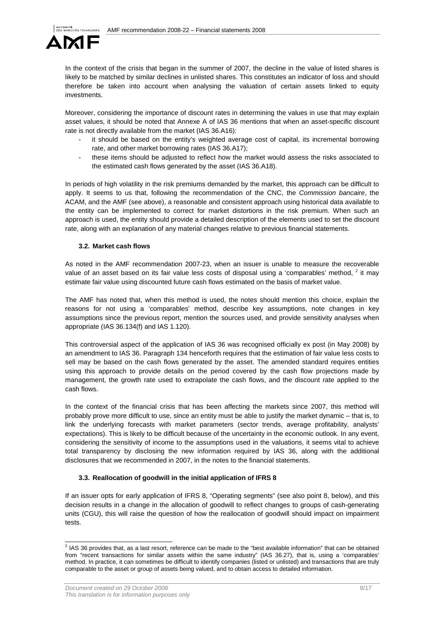

In the context of the crisis that began in the summer of 2007, the decline in the value of listed shares is likely to be matched by similar declines in unlisted shares. This constitutes an indicator of loss and should therefore be taken into account when analysing the valuation of certain assets linked to equity investments.

Moreover, considering the importance of discount rates in determining the values in use that may explain asset values, it should be noted that Annexe A of IAS 36 mentions that when an asset-specific discount rate is not directly available from the market (IAS 36.A16):

- it should be based on the entity's weighted average cost of capital, its incremental borrowing rate, and other market borrowing rates (IAS 36.A17);
- these items should be adjusted to reflect how the market would assess the risks associated to the estimated cash flows generated by the asset (IAS 36.A18).

In periods of high volatility in the risk premiums demanded by the market, this approach can be difficult to apply. It seems to us that, following the recommendation of the CNC, the Commission bancaire, the ACAM, and the AMF (see above), a reasonable and consistent approach using historical data available to the entity can be implemented to correct for market distortions in the risk premium. When such an approach is used, the entity should provide a detailed description of the elements used to set the discount rate, along with an explanation of any material changes relative to previous financial statements.

# **3.2. Market cash flows**

As noted in the AMF recommendation 2007-23, when an issuer is unable to measure the recoverable value of an asset based on its fair value less costs of disposal using a 'comparables' method, <sup>2</sup> it may estimate fair value using discounted future cash flows estimated on the basis of market value.

The AMF has noted that, when this method is used, the notes should mention this choice, explain the reasons for not using a 'comparables' method, describe key assumptions, note changes in key assumptions since the previous report, mention the sources used, and provide sensitivity analyses when appropriate (IAS 36.134(f) and IAS 1.120).

This controversial aspect of the application of IAS 36 was recognised officially ex post (in May 2008) by an amendment to IAS 36. Paragraph 134 henceforth requires that the estimation of fair value less costs to sell may be based on the cash flows generated by the asset. The amended standard requires entities using this approach to provide details on the period covered by the cash flow projections made by management, the growth rate used to extrapolate the cash flows, and the discount rate applied to the cash flows.

In the context of the financial crisis that has been affecting the markets since 2007, this method will probably prove more difficult to use, since an entity must be able to justify the market dynamic – that is, to link the underlying forecasts with market parameters (sector trends, average profitability, analysts' expectations). This is likely to be difficult because of the uncertainty in the economic outlook. In any event, considering the sensitivity of income to the assumptions used in the valuations, it seems vital to achieve total transparency by disclosing the new information required by IAS 36, along with the additional disclosures that we recommended in 2007, in the notes to the financial statements.

# **3.3. Reallocation of goodwill in the initial application of IFRS 8**

If an issuer opts for early application of IFRS 8, "Operating segments" (see also point 8, below), and this decision results in a change in the allocation of goodwill to reflect changes to groups of cash-generating units (CGU), this will raise the question of how the reallocation of goodwill should impact on impairment tests.

 2 IAS 36 provides that, as a last resort, reference can be made to the "best available information" that can be obtained from "recent transactions for similar assets within the same industry" (IAS 36.27), that is, using a 'comparables' method. In practice, it can sometimes be difficult to identify companies (listed or unlisted) and transactions that are truly comparable to the asset or group of assets being valued, and to obtain access to detailed information.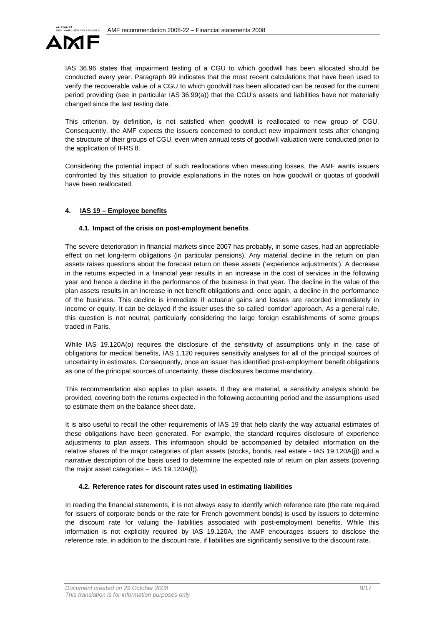

IAS 36.96 states that impairment testing of a CGU to which goodwill has been allocated should be conducted every year. Paragraph 99 indicates that the most recent calculations that have been used to verify the recoverable value of a CGU to which goodwill has been allocated can be reused for the current period providing (see in particular IAS 36.99(a)) that the CGU's assets and liabilities have not materially changed since the last testing date.

This criterion, by definition, is not satisfied when goodwill is reallocated to new group of CGU. Consequently, the AMF expects the issuers concerned to conduct new impairment tests after changing the structure of their groups of CGU, even when annual tests of goodwill valuation were conducted prior to the application of IFRS 8.

Considering the potential impact of such reallocations when measuring losses, the AMF wants issuers confronted by this situation to provide explanations in the notes on how goodwill or quotas of goodwill have been reallocated.

# **4. IAS 19 – Employee benefits**

# **4.1. Impact of the crisis on post-employment benefits**

The severe deterioration in financial markets since 2007 has probably, in some cases, had an appreciable effect on net long-term obligations (in particular pensions). Any material decline in the return on plan assets raises questions about the forecast return on these assets ('experience adjustments'). A decrease in the returns expected in a financial year results in an increase in the cost of services in the following year and hence a decline in the performance of the business in that year. The decline in the value of the plan assets results in an increase in net benefit obligations and, once again, a decline in the performance of the business. This decline is immediate if actuarial gains and losses are recorded immediately in income or equity. It can be delayed if the issuer uses the so-called 'corridor' approach. As a general rule, this question is not neutral, particularly considering the large foreign establishments of some groups traded in Paris.

While IAS 19.120A(o) requires the disclosure of the sensitivity of assumptions only in the case of obligations for medical benefits, IAS 1.120 requires sensitivity analyses for all of the principal sources of uncertainty in estimates. Consequently, once an issuer has identified post-employment benefit obligations as one of the principal sources of uncertainty, these disclosures become mandatory.

This recommendation also applies to plan assets. If they are material, a sensitivity analysis should be provided, covering both the returns expected in the following accounting period and the assumptions used to estimate them on the balance sheet date.

It is also useful to recall the other requirements of IAS 19 that help clarify the way actuarial estimates of these obligations have been generated. For example, the standard requires disclosure of experience adjustments to plan assets. This information should be accompanied by detailed information on the relative shares of the major categories of plan assets (stocks, bonds, real estate - IAS 19.120A(j)) and a narrative description of the basis used to determine the expected rate of return on plan assets (covering the major asset categories – IAS 19.120A(l)).

# **4.2. Reference rates for discount rates used in estimating liabilities**

In reading the financial statements, it is not always easy to identify which reference rate (the rate required for issuers of corporate bonds or the rate for French government bonds) is used by issuers to determine the discount rate for valuing the liabilities associated with post-employment benefits. While this information is not explicitly required by IAS 19.120A, the AMF encourages issuers to disclose the reference rate, in addition to the discount rate, if liabilities are significantly sensitive to the discount rate.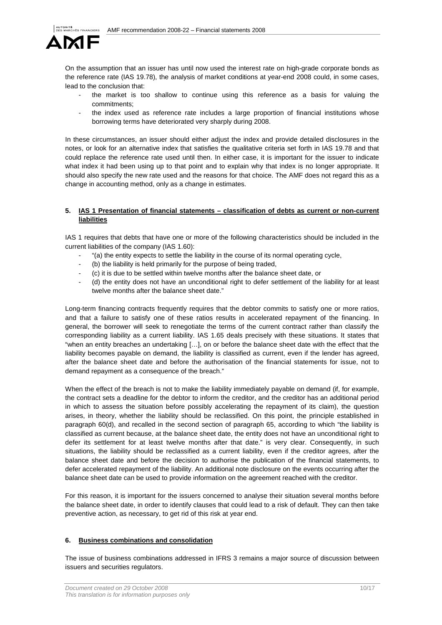

On the assumption that an issuer has until now used the interest rate on high-grade corporate bonds as the reference rate (IAS 19.78), the analysis of market conditions at year-end 2008 could, in some cases, lead to the conclusion that:

- the market is too shallow to continue using this reference as a basis for valuing the commitments;
- the index used as reference rate includes a large proportion of financial institutions whose borrowing terms have deteriorated very sharply during 2008.

In these circumstances, an issuer should either adjust the index and provide detailed disclosures in the notes, or look for an alternative index that satisfies the qualitative criteria set forth in IAS 19.78 and that could replace the reference rate used until then. In either case, it is important for the issuer to indicate what index it had been using up to that point and to explain why that index is no longer appropriate. It should also specify the new rate used and the reasons for that choice. The AMF does not regard this as a change in accounting method, only as a change in estimates.

# **5. IAS 1 Presentation of financial statements – classification of debts as current or non-current liabilities**

IAS 1 requires that debts that have one or more of the following characteristics should be included in the current liabilities of the company (IAS 1.60):

- "(a) the entity expects to settle the liability in the course of its normal operating cycle,
- (b) the liability is held primarily for the purpose of being traded,
- (c) it is due to be settled within twelve months after the balance sheet date, or
- (d) the entity does not have an unconditional right to defer settlement of the liability for at least twelve months after the balance sheet date."

Long-term financing contracts frequently requires that the debtor commits to satisfy one or more ratios, and that a failure to satisfy one of these ratios results in accelerated repayment of the financing. In general, the borrower will seek to renegotiate the terms of the current contract rather than classify the corresponding liability as a current liability. IAS 1.65 deals precisely with these situations. It states that "when an entity breaches an undertaking […], on or before the balance sheet date with the effect that the liability becomes payable on demand, the liability is classified as current, even if the lender has agreed, after the balance sheet date and before the authorisation of the financial statements for issue, not to demand repayment as a consequence of the breach."

When the effect of the breach is not to make the liability immediately payable on demand (if, for example, the contract sets a deadline for the debtor to inform the creditor, and the creditor has an additional period in which to assess the situation before possibly accelerating the repayment of its claim), the question arises, in theory, whether the liability should be reclassified. On this point, the principle established in paragraph 60(d), and recalled in the second section of paragraph 65, according to which "the liability is classified as current because, at the balance sheet date, the entity does not have an unconditional right to defer its settlement for at least twelve months after that date." is very clear. Consequently, in such situations, the liability should be reclassified as a current liability, even if the creditor agrees, after the balance sheet date and before the decision to authorise the publication of the financial statements, to defer accelerated repayment of the liability. An additional note disclosure on the events occurring after the balance sheet date can be used to provide information on the agreement reached with the creditor.

For this reason, it is important for the issuers concerned to analyse their situation several months before the balance sheet date, in order to identify clauses that could lead to a risk of default. They can then take preventive action, as necessary, to get rid of this risk at year end.

#### **6. Business combinations and consolidation**

The issue of business combinations addressed in IFRS 3 remains a major source of discussion between issuers and securities regulators.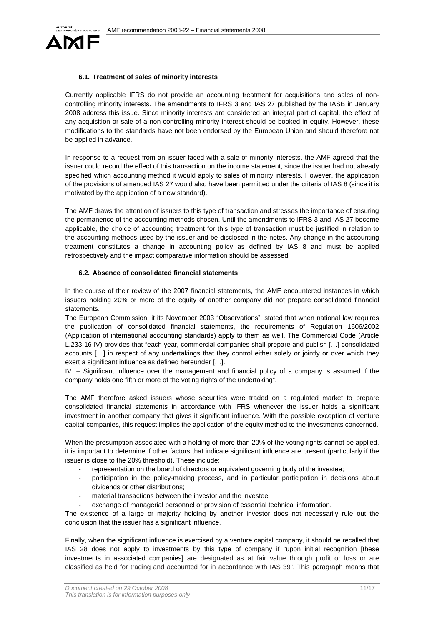

#### **6.1. Treatment of sales of minority interests**

Currently applicable IFRS do not provide an accounting treatment for acquisitions and sales of noncontrolling minority interests. The amendments to IFRS 3 and IAS 27 published by the IASB in January 2008 address this issue. Since minority interests are considered an integral part of capital, the effect of any acquisition or sale of a non-controlling minority interest should be booked in equity. However, these modifications to the standards have not been endorsed by the European Union and should therefore not be applied in advance.

In response to a request from an issuer faced with a sale of minority interests, the AMF agreed that the issuer could record the effect of this transaction on the income statement, since the issuer had not already specified which accounting method it would apply to sales of minority interests. However, the application of the provisions of amended IAS 27 would also have been permitted under the criteria of IAS 8 (since it is motivated by the application of a new standard).

The AMF draws the attention of issuers to this type of transaction and stresses the importance of ensuring the permanence of the accounting methods chosen. Until the amendments to IFRS 3 and IAS 27 become applicable, the choice of accounting treatment for this type of transaction must be justified in relation to the accounting methods used by the issuer and be disclosed in the notes. Any change in the accounting treatment constitutes a change in accounting policy as defined by IAS 8 and must be applied retrospectively and the impact comparative information should be assessed.

### **6.2. Absence of consolidated financial statements**

In the course of their review of the 2007 financial statements, the AMF encountered instances in which issuers holding 20% or more of the equity of another company did not prepare consolidated financial **statements** 

The European Commission, it its November 2003 "Observations", stated that when national law requires the publication of consolidated financial statements, the requirements of Regulation 1606/2002 (Application of international accounting standards) apply to them as well. The Commercial Code (Article L.233-16 IV) provides that "each year, commercial companies shall prepare and publish […] consolidated accounts […] in respect of any undertakings that they control either solely or jointly or over which they exert a significant influence as defined hereunder […].

IV. – Significant influence over the management and financial policy of a company is assumed if the company holds one fifth or more of the voting rights of the undertaking".

The AMF therefore asked issuers whose securities were traded on a regulated market to prepare consolidated financial statements in accordance with IFRS whenever the issuer holds a significant investment in another company that gives it significant influence. With the possible exception of venture capital companies, this request implies the application of the equity method to the investments concerned.

When the presumption associated with a holding of more than 20% of the voting rights cannot be applied, it is important to determine if other factors that indicate significant influence are present (particularly if the issuer is close to the 20% threshold). These include:

- representation on the board of directors or equivalent governing body of the investee;
- participation in the policy-making process, and in particular participation in decisions about dividends or other distributions;
- material transactions between the investor and the investee;
- exchange of managerial personnel or provision of essential technical information.

The existence of a large or majority holding by another investor does not necessarily rule out the conclusion that the issuer has a significant influence.

Finally, when the significant influence is exercised by a venture capital company, it should be recalled that IAS 28 does not apply to investments by this type of company if "upon initial recognition [these investments in associated companies] are designated as at fair value through profit or loss or are classified as held for trading and accounted for in accordance with IAS 39". This paragraph means that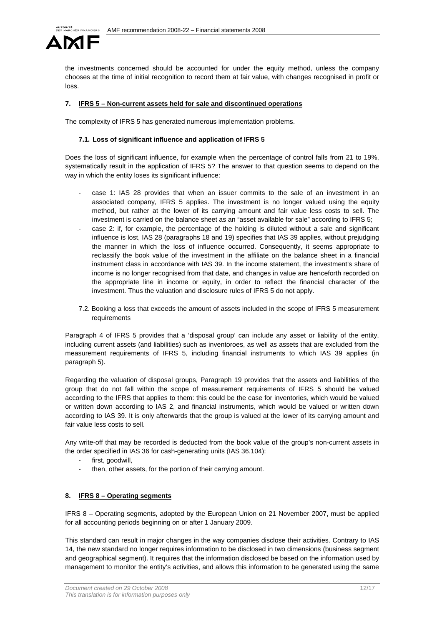

the investments concerned should be accounted for under the equity method, unless the company chooses at the time of initial recognition to record them at fair value, with changes recognised in profit or loss.

# **7. IFRS 5 – Non-current assets held for sale and discontinued operations**

The complexity of IFRS 5 has generated numerous implementation problems.

### **7.1. Loss of significant influence and application of IFRS 5**

Does the loss of significant influence, for example when the percentage of control falls from 21 to 19%, systematically result in the application of IFRS 5? The answer to that question seems to depend on the way in which the entity loses its significant influence:

- case 1: IAS 28 provides that when an issuer commits to the sale of an investment in an associated company, IFRS 5 applies. The investment is no longer valued using the equity method, but rather at the lower of its carrying amount and fair value less costs to sell. The investment is carried on the balance sheet as an "asset available for sale" according to IFRS 5;
- case 2: if, for example, the percentage of the holding is diluted without a sale and significant influence is lost, IAS 28 (paragraphs 18 and 19) specifies that IAS 39 applies, without prejudging the manner in which the loss of influence occurred. Consequently, it seems appropriate to reclassify the book value of the investment in the affiliate on the balance sheet in a financial instrument class in accordance with IAS 39. In the income statement, the investment's share of income is no longer recognised from that date, and changes in value are henceforth recorded on the appropriate line in income or equity, in order to reflect the financial character of the investment. Thus the valuation and disclosure rules of IFRS 5 do not apply.
- 7.2. Booking a loss that exceeds the amount of assets included in the scope of IFRS 5 measurement requirements

Paragraph 4 of IFRS 5 provides that a 'disposal group' can include any asset or liability of the entity, including current assets (and liabilities) such as inventoroes, as well as assets that are excluded from the measurement requirements of IFRS 5, including financial instruments to which IAS 39 applies (in paragraph 5).

Regarding the valuation of disposal groups, Paragraph 19 provides that the assets and liabilities of the group that do not fall within the scope of measurement requirements of IFRS 5 should be valued according to the IFRS that applies to them: this could be the case for inventories, which would be valued or written down according to IAS 2, and financial instruments, which would be valued or written down according to IAS 39. It is only afterwards that the group is valued at the lower of its carrying amount and fair value less costs to sell.

Any write-off that may be recorded is deducted from the book value of the group's non-current assets in the order specified in IAS 36 for cash-generating units (IAS 36.104):

- first, goodwill,
- then, other assets, for the portion of their carrying amount.

### **8. IFRS 8 – Operating segments**

IFRS 8 – Operating segments, adopted by the European Union on 21 November 2007, must be applied for all accounting periods beginning on or after 1 January 2009.

This standard can result in major changes in the way companies disclose their activities. Contrary to IAS 14, the new standard no longer requires information to be disclosed in two dimensions (business segment and geographical segment). It requires that the information disclosed be based on the information used by management to monitor the entity's activities, and allows this information to be generated using the same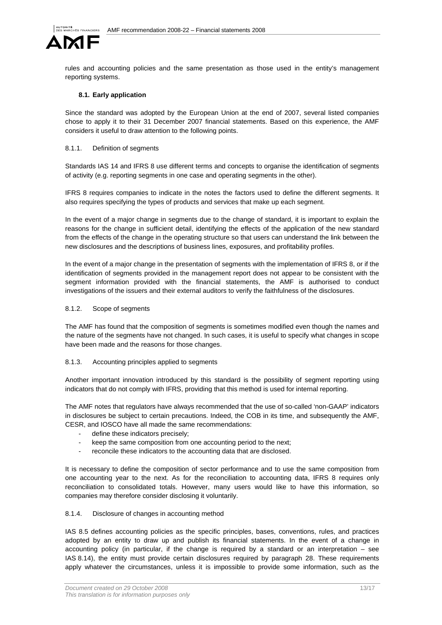

rules and accounting policies and the same presentation as those used in the entity's management reporting systems.

# **8.1. Early application**

Since the standard was adopted by the European Union at the end of 2007, several listed companies chose to apply it to their 31 December 2007 financial statements. Based on this experience, the AMF considers it useful to draw attention to the following points.

### 8.1.1. Definition of segments

Standards IAS 14 and IFRS 8 use different terms and concepts to organise the identification of segments of activity (e.g. reporting segments in one case and operating segments in the other).

IFRS 8 requires companies to indicate in the notes the factors used to define the different segments. It also requires specifying the types of products and services that make up each segment.

In the event of a major change in segments due to the change of standard, it is important to explain the reasons for the change in sufficient detail, identifying the effects of the application of the new standard from the effects of the change in the operating structure so that users can understand the link between the new disclosures and the descriptions of business lines, exposures, and profitability profiles.

In the event of a major change in the presentation of segments with the implementation of IFRS 8, or if the identification of segments provided in the management report does not appear to be consistent with the segment information provided with the financial statements, the AMF is authorised to conduct investigations of the issuers and their external auditors to verify the faithfulness of the disclosures.

# 8.1.2. Scope of segments

The AMF has found that the composition of segments is sometimes modified even though the names and the nature of the segments have not changed. In such cases, it is useful to specify what changes in scope have been made and the reasons for those changes.

# 8.1.3. Accounting principles applied to segments

Another important innovation introduced by this standard is the possibility of segment reporting using indicators that do not comply with IFRS, providing that this method is used for internal reporting.

The AMF notes that regulators have always recommended that the use of so-called 'non-GAAP' indicators in disclosures be subject to certain precautions. Indeed, the COB in its time, and subsequently the AMF, CESR, and IOSCO have all made the same recommendations:

- define these indicators precisely;
- keep the same composition from one accounting period to the next;
- reconcile these indicators to the accounting data that are disclosed.

It is necessary to define the composition of sector performance and to use the same composition from one accounting year to the next. As for the reconciliation to accounting data, IFRS 8 requires only reconciliation to consolidated totals. However, many users would like to have this information, so companies may therefore consider disclosing it voluntarily.

# 8.1.4. Disclosure of changes in accounting method

IAS 8.5 defines accounting policies as the specific principles, bases, conventions, rules, and practices adopted by an entity to draw up and publish its financial statements. In the event of a change in accounting policy (in particular, if the change is required by a standard or an interpretation – see IAS 8.14), the entity must provide certain disclosures required by paragraph 28. These requirements apply whatever the circumstances, unless it is impossible to provide some information, such as the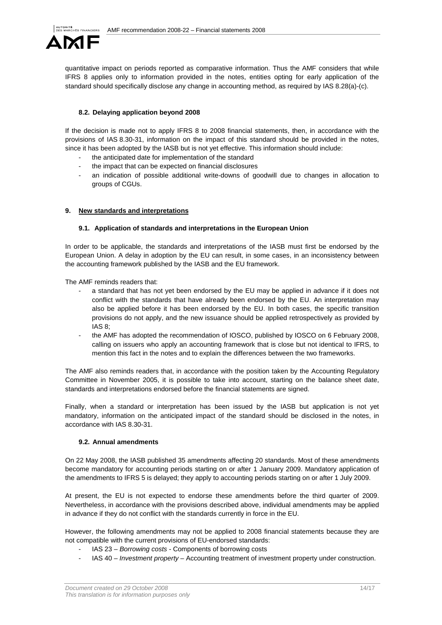

quantitative impact on periods reported as comparative information. Thus the AMF considers that while IFRS 8 applies only to information provided in the notes, entities opting for early application of the standard should specifically disclose any change in accounting method, as required by IAS 8.28(a)-(c).

# **8.2. Delaying application beyond 2008**

If the decision is made not to apply IFRS 8 to 2008 financial statements, then, in accordance with the provisions of IAS 8.30-31, information on the impact of this standard should be provided in the notes, since it has been adopted by the IASB but is not yet effective. This information should include:

- the anticipated date for implementation of the standard
- the impact that can be expected on financial disclosures
- an indication of possible additional write-downs of goodwill due to changes in allocation to groups of CGUs.

### **9. New standards and interpretations**

### **9.1. Application of standards and interpretations in the European Union**

In order to be applicable, the standards and interpretations of the IASB must first be endorsed by the European Union. A delay in adoption by the EU can result, in some cases, in an inconsistency between the accounting framework published by the IASB and the EU framework.

The AMF reminds readers that:

- a standard that has not yet been endorsed by the EU may be applied in advance if it does not conflict with the standards that have already been endorsed by the EU. An interpretation may also be applied before it has been endorsed by the EU. In both cases, the specific transition provisions do not apply, and the new issuance should be applied retrospectively as provided by IAS 8;
- the AMF has adopted the recommendation of IOSCO, published by IOSCO on 6 February 2008, calling on issuers who apply an accounting framework that is close but not identical to IFRS, to mention this fact in the notes and to explain the differences between the two frameworks.

The AMF also reminds readers that, in accordance with the position taken by the Accounting Regulatory Committee in November 2005, it is possible to take into account, starting on the balance sheet date, standards and interpretations endorsed before the financial statements are signed.

Finally, when a standard or interpretation has been issued by the IASB but application is not yet mandatory, information on the anticipated impact of the standard should be disclosed in the notes, in accordance with IAS 8.30-31.

### **9.2. Annual amendments**

On 22 May 2008, the IASB published 35 amendments affecting 20 standards. Most of these amendments become mandatory for accounting periods starting on or after 1 January 2009. Mandatory application of the amendments to IFRS 5 is delayed; they apply to accounting periods starting on or after 1 July 2009.

At present, the EU is not expected to endorse these amendments before the third quarter of 2009. Nevertheless, in accordance with the provisions described above, individual amendments may be applied in advance if they do not conflict with the standards currently in force in the EU.

However, the following amendments may not be applied to 2008 financial statements because they are not compatible with the current provisions of EU-endorsed standards:

- IAS 23 Borrowing costs Components of borrowing costs
- IAS 40 Investment property Accounting treatment of investment property under construction.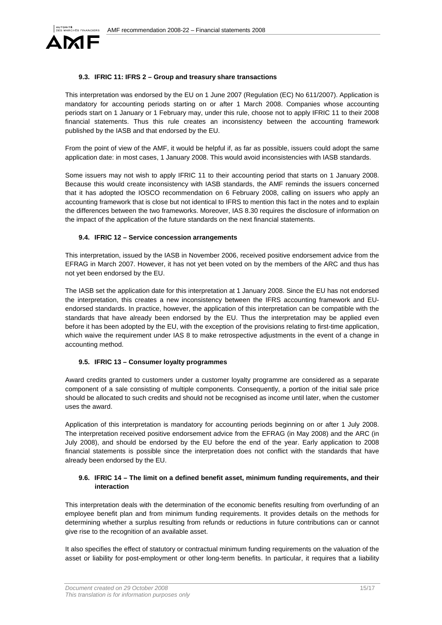

# **9.3. IFRIC 11: IFRS 2 – Group and treasury share transactions**

This interpretation was endorsed by the EU on 1 June 2007 (Regulation (EC) No 611/2007). Application is mandatory for accounting periods starting on or after 1 March 2008. Companies whose accounting periods start on 1 January or 1 February may, under this rule, choose not to apply IFRIC 11 to their 2008 financial statements. Thus this rule creates an inconsistency between the accounting framework published by the IASB and that endorsed by the EU.

From the point of view of the AMF, it would be helpful if, as far as possible, issuers could adopt the same application date: in most cases, 1 January 2008. This would avoid inconsistencies with IASB standards.

Some issuers may not wish to apply IFRIC 11 to their accounting period that starts on 1 January 2008. Because this would create inconsistency with IASB standards, the AMF reminds the issuers concerned that it has adopted the IOSCO recommendation on 6 February 2008, calling on issuers who apply an accounting framework that is close but not identical to IFRS to mention this fact in the notes and to explain the differences between the two frameworks. Moreover, IAS 8.30 requires the disclosure of information on the impact of the application of the future standards on the next financial statements.

### **9.4. IFRIC 12 – Service concession arrangements**

This interpretation, issued by the IASB in November 2006, received positive endorsement advice from the EFRAG in March 2007. However, it has not yet been voted on by the members of the ARC and thus has not yet been endorsed by the EU.

The IASB set the application date for this interpretation at 1 January 2008. Since the EU has not endorsed the interpretation, this creates a new inconsistency between the IFRS accounting framework and EUendorsed standards. In practice, however, the application of this interpretation can be compatible with the standards that have already been endorsed by the EU. Thus the interpretation may be applied even before it has been adopted by the EU, with the exception of the provisions relating to first-time application, which waive the requirement under IAS 8 to make retrospective adjustments in the event of a change in accounting method.

#### **9.5. IFRIC 13 – Consumer loyalty programmes**

Award credits granted to customers under a customer loyalty programme are considered as a separate component of a sale consisting of multiple components. Consequently, a portion of the initial sale price should be allocated to such credits and should not be recognised as income until later, when the customer uses the award.

Application of this interpretation is mandatory for accounting periods beginning on or after 1 July 2008. The interpretation received positive endorsement advice from the EFRAG (in May 2008) and the ARC (in July 2008), and should be endorsed by the EU before the end of the year. Early application to 2008 financial statements is possible since the interpretation does not conflict with the standards that have already been endorsed by the EU.

### **9.6. IFRIC 14 – The limit on a defined benefit asset, minimum funding requirements, and their interaction**

This interpretation deals with the determination of the economic benefits resulting from overfunding of an employee benefit plan and from minimum funding requirements. It provides details on the methods for determining whether a surplus resulting from refunds or reductions in future contributions can or cannot give rise to the recognition of an available asset.

It also specifies the effect of statutory or contractual minimum funding requirements on the valuation of the asset or liability for post-employment or other long-term benefits. In particular, it requires that a liability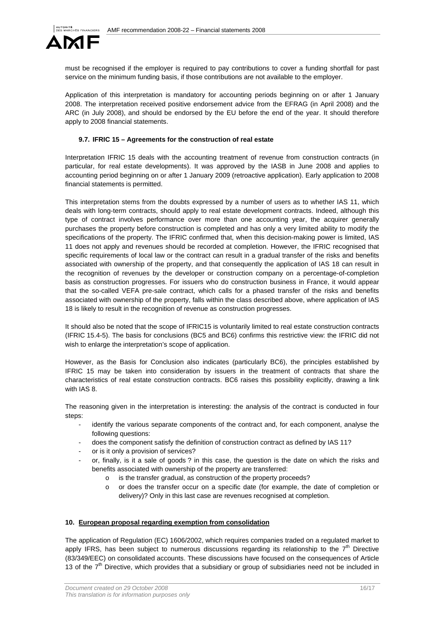

must be recognised if the employer is required to pay contributions to cover a funding shortfall for past service on the minimum funding basis, if those contributions are not available to the employer.

Application of this interpretation is mandatory for accounting periods beginning on or after 1 January 2008. The interpretation received positive endorsement advice from the EFRAG (in April 2008) and the ARC (in July 2008), and should be endorsed by the EU before the end of the year. It should therefore apply to 2008 financial statements.

#### **9.7. IFRIC 15 – Agreements for the construction of real estate**

Interpretation IFRIC 15 deals with the accounting treatment of revenue from construction contracts (in particular, for real estate developments). It was approved by the IASB in June 2008 and applies to accounting period beginning on or after 1 January 2009 (retroactive application). Early application to 2008 financial statements is permitted.

This interpretation stems from the doubts expressed by a number of users as to whether IAS 11, which deals with long-term contracts, should apply to real estate development contracts. Indeed, although this type of contract involves performance over more than one accounting year, the acquirer generally purchases the property before construction is completed and has only a very limited ability to modify the specifications of the property. The IFRIC confirmed that, when this decision-making power is limited, IAS 11 does not apply and revenues should be recorded at completion. However, the IFRIC recognised that specific requirements of local law or the contract can result in a gradual transfer of the risks and benefits associated with ownership of the property, and that consequently the application of IAS 18 can result in the recognition of revenues by the developer or construction company on a percentage-of-completion basis as construction progresses. For issuers who do construction business in France, it would appear that the so-called VEFA pre-sale contract, which calls for a phased transfer of the risks and benefits associated with ownership of the property, falls within the class described above, where application of IAS 18 is likely to result in the recognition of revenue as construction progresses.

It should also be noted that the scope of IFRIC15 is voluntarily limited to real estate construction contracts (IFRIC 15.4-5). The basis for conclusions (BC5 and BC6) confirms this restrictive view: the IFRIC did not wish to enlarge the interpretation's scope of application.

However, as the Basis for Conclusion also indicates (particularly BC6), the principles established by IFRIC 15 may be taken into consideration by issuers in the treatment of contracts that share the characteristics of real estate construction contracts. BC6 raises this possibility explicitly, drawing a link with IAS 8.

The reasoning given in the interpretation is interesting: the analysis of the contract is conducted in four steps:

- identify the various separate components of the contract and, for each component, analyse the following questions:
- does the component satisfy the definition of construction contract as defined by IAS 11?
- or is it only a provision of services?
- or, finally, is it a sale of goods? in this case, the question is the date on which the risks and benefits associated with ownership of the property are transferred:
	- o is the transfer gradual, as construction of the property proceeds?
	- o or does the transfer occur on a specific date (for example, the date of completion or delivery)? Only in this last case are revenues recognised at completion.

#### **10. European proposal regarding exemption from consolidation**

The application of Regulation (EC) 1606/2002, which requires companies traded on a regulated market to apply IFRS, has been subject to numerous discussions regarding its relationship to the  $7<sup>th</sup>$  Directive (83/349/EEC) on consolidated accounts. These discussions have focused on the consequences of Article 13 of the  $7<sup>th</sup>$  Directive, which provides that a subsidiary or group of subsidiaries need not be included in